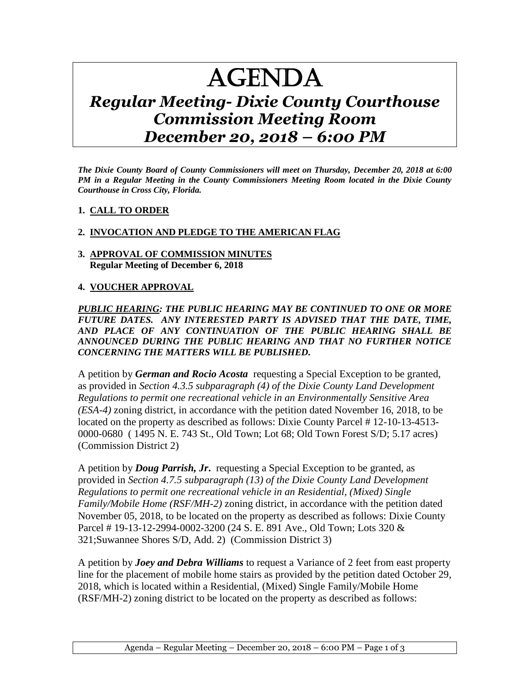# AGENDA

# *Regular Meeting- Dixie County Courthouse Commission Meeting Room December 20, 2018 – 6:00 PM*

*The Dixie County Board of County Commissioners will meet on Thursday, December 20, 2018 at 6:00 PM in a Regular Meeting in the County Commissioners Meeting Room located in the Dixie County Courthouse in Cross City, Florida.*

#### **1. CALL TO ORDER**

## **2. INVOCATION AND PLEDGE TO THE AMERICAN FLAG**

#### **3. APPROVAL OF COMMISSION MINUTES Regular Meeting of December 6, 2018**

#### **4. VOUCHER APPROVAL**

*PUBLIC HEARING: THE PUBLIC HEARING MAY BE CONTINUED TO ONE OR MORE FUTURE DATES. ANY INTERESTED PARTY IS ADVISED THAT THE DATE, TIME, AND PLACE OF ANY CONTINUATION OF THE PUBLIC HEARING SHALL BE ANNOUNCED DURING THE PUBLIC HEARING AND THAT NO FURTHER NOTICE CONCERNING THE MATTERS WILL BE PUBLISHED.*

A petition by *German and Rocio Acosta* requesting a Special Exception to be granted, as provided in *Section 4.3.5 subparagraph (4) of the Dixie County Land Development Regulations to permit one recreational vehicle in an Environmentally Sensitive Area (ESA-4)* zoning district, in accordance with the petition dated November 16, 2018, to be located on the property as described as follows: Dixie County Parcel # 12-10-13-4513- 0000-0680 ( 1495 N. E. 743 St., Old Town; Lot 68; Old Town Forest S/D; 5.17 acres) (Commission District 2)

A petition by *Doug Parrish, Jr***.** requesting a Special Exception to be granted, as provided in *Section 4.7.5 subparagraph (13) of the Dixie County Land Development Regulations to permit one recreational vehicle in an Residential, (Mixed) Single Family/Mobile Home (RSF/MH-2)* zoning district, in accordance with the petition dated November 05, 2018, to be located on the property as described as follows: Dixie County Parcel # 19-13-12-2994-0002-3200 (24 S. E. 891 Ave., Old Town; Lots 320 & 321;Suwannee Shores S/D, Add. 2) (Commission District 3)

A petition by *Joey and Debra Williams* to request a Variance of 2 feet from east property line for the placement of mobile home stairs as provided by the petition dated October 29, 2018, which is located within a Residential, (Mixed) Single Family/Mobile Home (RSF/MH-2) zoning district to be located on the property as described as follows: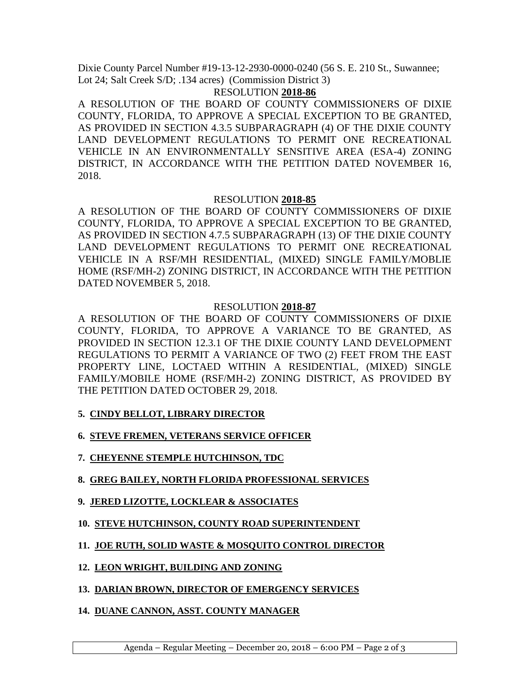Dixie County Parcel Number #19-13-12-2930-0000-0240 (56 S. E. 210 St., Suwannee; Lot 24; Salt Creek S/D; .134 acres) (Commission District 3)

## RESOLUTION **2018-86**

A RESOLUTION OF THE BOARD OF COUNTY COMMISSIONERS OF DIXIE COUNTY, FLORIDA, TO APPROVE A SPECIAL EXCEPTION TO BE GRANTED, AS PROVIDED IN SECTION 4.3.5 SUBPARAGRAPH (4) OF THE DIXIE COUNTY LAND DEVELOPMENT REGULATIONS TO PERMIT ONE RECREATIONAL VEHICLE IN AN ENVIRONMENTALLY SENSITIVE AREA (ESA-4) ZONING DISTRICT, IN ACCORDANCE WITH THE PETITION DATED NOVEMBER 16, 2018.

## RESOLUTION **2018-85**

A RESOLUTION OF THE BOARD OF COUNTY COMMISSIONERS OF DIXIE COUNTY, FLORIDA, TO APPROVE A SPECIAL EXCEPTION TO BE GRANTED, AS PROVIDED IN SECTION 4.7.5 SUBPARAGRAPH (13) OF THE DIXIE COUNTY LAND DEVELOPMENT REGULATIONS TO PERMIT ONE RECREATIONAL VEHICLE IN A RSF/MH RESIDENTIAL, (MIXED) SINGLE FAMILY/MOBLIE HOME (RSF/MH-2) ZONING DISTRICT, IN ACCORDANCE WITH THE PETITION DATED NOVEMBER 5, 2018.

## RESOLUTION **2018-87**

A RESOLUTION OF THE BOARD OF COUNTY COMMISSIONERS OF DIXIE COUNTY, FLORIDA, TO APPROVE A VARIANCE TO BE GRANTED, AS PROVIDED IN SECTION 12.3.1 OF THE DIXIE COUNTY LAND DEVELOPMENT REGULATIONS TO PERMIT A VARIANCE OF TWO (2) FEET FROM THE EAST PROPERTY LINE, LOCTAED WITHIN A RESIDENTIAL, (MIXED) SINGLE FAMILY/MOBILE HOME (RSF/MH-2) ZONING DISTRICT, AS PROVIDED BY THE PETITION DATED OCTOBER 29, 2018.

- **5. CINDY BELLOT, LIBRARY DIRECTOR**
- **6. STEVE FREMEN, VETERANS SERVICE OFFICER**
- **7. CHEYENNE STEMPLE HUTCHINSON, TDC**
- **8. GREG BAILEY, NORTH FLORIDA PROFESSIONAL SERVICES**
- **9. JERED LIZOTTE, LOCKLEAR & ASSOCIATES**
- **10. STEVE HUTCHINSON, COUNTY ROAD SUPERINTENDENT**
- **11. JOE RUTH, SOLID WASTE & MOSQUITO CONTROL DIRECTOR**
- **12. LEON WRIGHT, BUILDING AND ZONING**
- **13. DARIAN BROWN, DIRECTOR OF EMERGENCY SERVICES**
- **14. DUANE CANNON, ASST. COUNTY MANAGER**